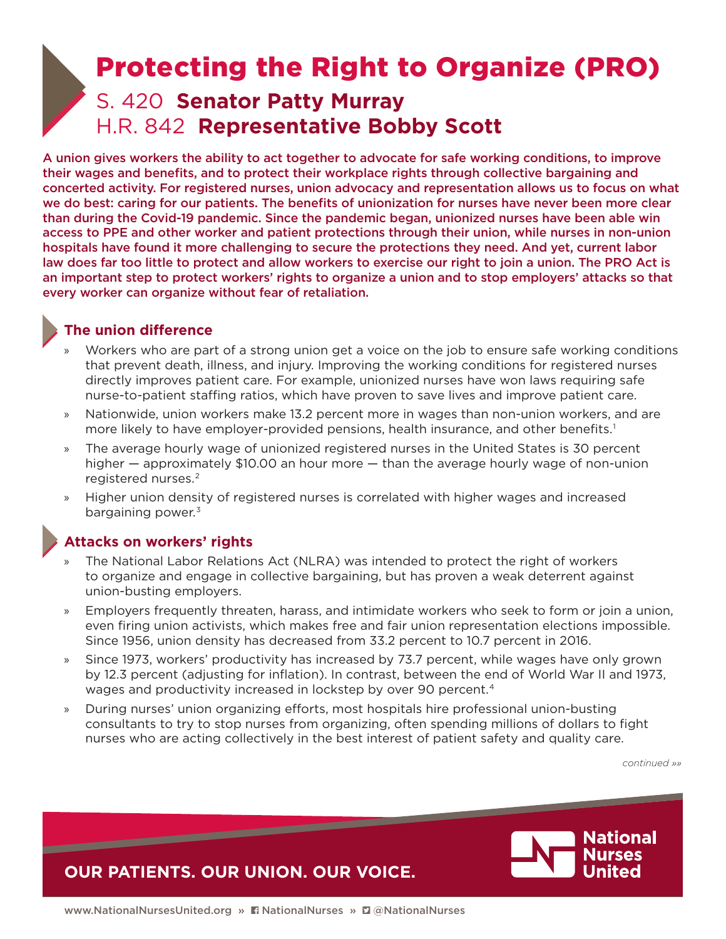# <span id="page-0-0"></span>S. 420 **Senator Patty Murray** H.R. 842 **Representative Bobby Scott** Protecting the Right to Organize (PRO)

A union gives workers the ability to act together to advocate for safe working conditions, to improve their wages and benefits, and to protect their workplace rights through collective bargaining and concerted activity. For registered nurses, union advocacy and representation allows us to focus on what we do best: caring for our patients. The benefits of unionization for nurses have never been more clear than during the Covid-19 pandemic. Since the pandemic began, unionized nurses have been able win access to PPE and other worker and patient protections through their union, while nurses in non-union hospitals have found it more challenging to secure the protections they need. And yet, current labor law does far too little to protect and allow workers to exercise our right to join a union. The PRO Act is an important step to protect workers' rights to organize a union and to stop employers' attacks so that every worker can organize without fear of retaliation.

### **The union difference**

- » Workers who are part of a strong union get a voice on the job to ensure safe working conditions that prevent death, illness, and injury. Improving the working conditions for registered nurses directly improves patient care. For example, unionized nurses have won laws requiring safe nurse-to-patient staffing ratios, which have proven to save lives and improve patient care.
- » Nationwide, union workers make 13.2 percent more in wages than non-union workers, and are more likely to have employer-provided pensions, health insurance, and other benefits.[1](#page-1-0)
- » The average hourly wage of unionized registered nurses in the United States is 30 percent higher — approximately \$10.00 an hour more — than the average hourly wage of non-union registered nurses.<sup>2</sup>
- » Higher union density of registered nurses is correlated with higher wages and increased bargaining power.<sup>3</sup>

# **Attacks on workers' rights**

- » The National Labor Relations Act (NLRA) was intended to protect the right of workers to organize and engage in collective bargaining, but has proven a weak deterrent against union-busting employers.
- » Employers frequently threaten, harass, and intimidate workers who seek to form or join a union, even firing union activists, which makes free and fair union representation elections impossible. Since 1956, union density has decreased from 33.2 percent to 10.7 percent in 2016.
- » Since 1973, workers' productivity has increased by 73.7 percent, while wages have only grown by 12.3 percent (adjusting for inflation). In contrast, between the end of World War II and 1973, wages and productivity increased in lockstep by over 90 percent[. 4](#page-1-0)
- » During nurses' union organizing efforts, most hospitals hire professional union-busting consultants to try to stop nurses from organizing, often spending millions of dollars to fight nurses who are acting collectively in the best interest of patient safety and quality care.

*continued »»*